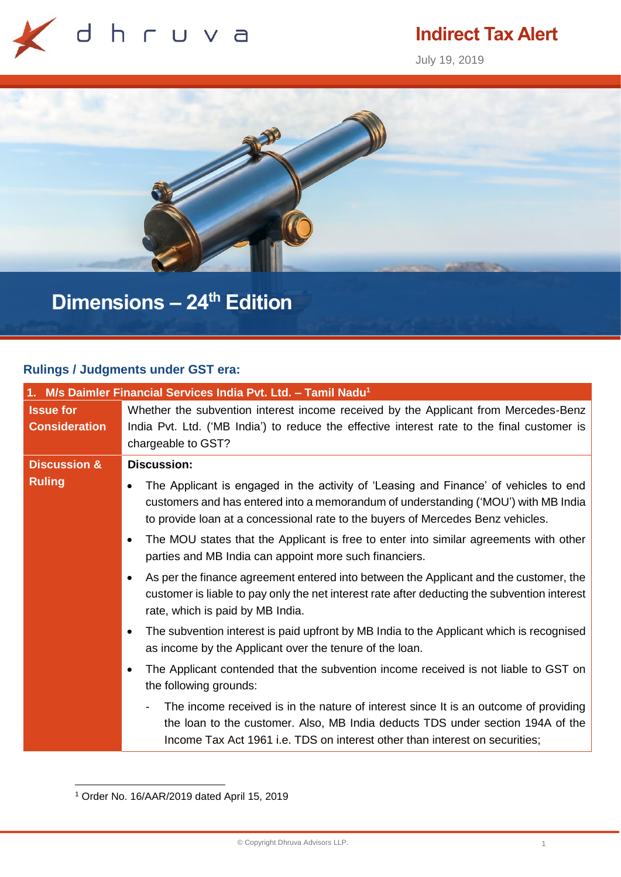

## **Indirect Tax Alert**

July 19, 2019



# **Dimensions – 24 th Edition**

### **Rulings / Judgments under GST era:**

| 1. M/s Daimler Financial Services India Pvt. Ltd. - Tamil Nadu <sup>1</sup> |                                                                                                                                                                                                                                                                            |  |
|-----------------------------------------------------------------------------|----------------------------------------------------------------------------------------------------------------------------------------------------------------------------------------------------------------------------------------------------------------------------|--|
| <b>Issue for</b><br><b>Consideration</b>                                    | Whether the subvention interest income received by the Applicant from Mercedes-Benz<br>India Pvt. Ltd. ('MB India') to reduce the effective interest rate to the final customer is<br>chargeable to GST?                                                                   |  |
| <b>Discussion &amp;</b>                                                     | <b>Discussion:</b>                                                                                                                                                                                                                                                         |  |
| <b>Ruling</b>                                                               | The Applicant is engaged in the activity of 'Leasing and Finance' of vehicles to end<br>$\bullet$<br>customers and has entered into a memorandum of understanding ('MOU') with MB India<br>to provide loan at a concessional rate to the buyers of Mercedes Benz vehicles. |  |
|                                                                             | The MOU states that the Applicant is free to enter into similar agreements with other<br>parties and MB India can appoint more such financiers.                                                                                                                            |  |
|                                                                             | As per the finance agreement entered into between the Applicant and the customer, the<br>customer is liable to pay only the net interest rate after deducting the subvention interest<br>rate, which is paid by MB India.                                                  |  |
|                                                                             | The subvention interest is paid upfront by MB India to the Applicant which is recognised<br>as income by the Applicant over the tenure of the loan.                                                                                                                        |  |
|                                                                             | The Applicant contended that the subvention income received is not liable to GST on<br>the following grounds:                                                                                                                                                              |  |
|                                                                             | The income received is in the nature of interest since It is an outcome of providing<br>the loan to the customer. Also, MB India deducts TDS under section 194A of the<br>Income Tax Act 1961 i.e. TDS on interest other than interest on securities;                      |  |

<sup>1</sup> Order No. 16/AAR/2019 dated April 15, 2019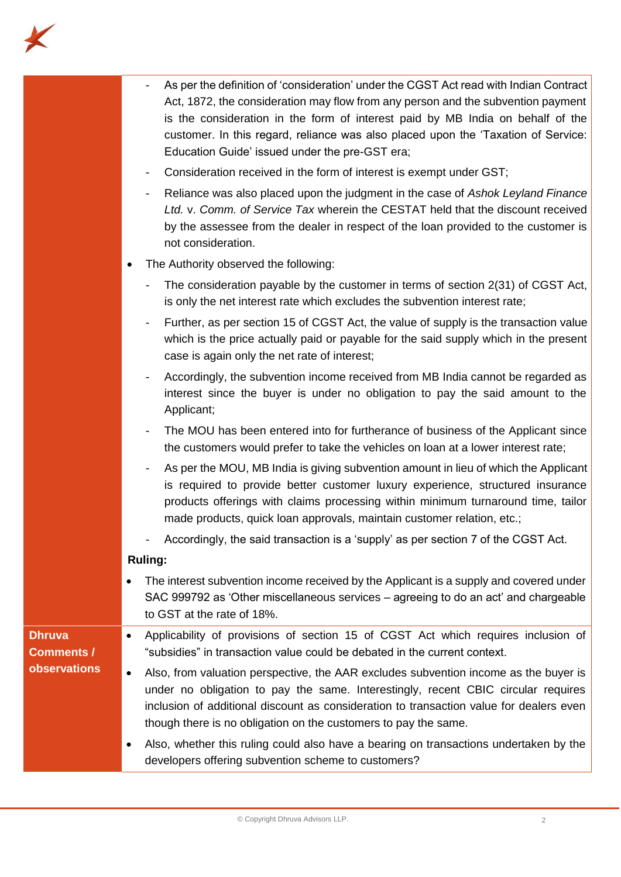

|                                    | As per the definition of 'consideration' under the CGST Act read with Indian Contract<br>Act, 1872, the consideration may flow from any person and the subvention payment<br>is the consideration in the form of interest paid by MB India on behalf of the<br>customer. In this regard, reliance was also placed upon the 'Taxation of Service:<br>Education Guide' issued under the pre-GST era;<br>Consideration received in the form of interest is exempt under GST;<br>Reliance was also placed upon the judgment in the case of Ashok Leyland Finance<br>Ltd. v. Comm. of Service Tax wherein the CESTAT held that the discount received<br>by the assessee from the dealer in respect of the loan provided to the customer is<br>not consideration. |
|------------------------------------|-------------------------------------------------------------------------------------------------------------------------------------------------------------------------------------------------------------------------------------------------------------------------------------------------------------------------------------------------------------------------------------------------------------------------------------------------------------------------------------------------------------------------------------------------------------------------------------------------------------------------------------------------------------------------------------------------------------------------------------------------------------|
|                                    | The Authority observed the following:<br>$\bullet$                                                                                                                                                                                                                                                                                                                                                                                                                                                                                                                                                                                                                                                                                                          |
|                                    | The consideration payable by the customer in terms of section 2(31) of CGST Act,<br>is only the net interest rate which excludes the subvention interest rate;                                                                                                                                                                                                                                                                                                                                                                                                                                                                                                                                                                                              |
|                                    | Further, as per section 15 of CGST Act, the value of supply is the transaction value<br>which is the price actually paid or payable for the said supply which in the present<br>case is again only the net rate of interest;                                                                                                                                                                                                                                                                                                                                                                                                                                                                                                                                |
|                                    | Accordingly, the subvention income received from MB India cannot be regarded as<br>interest since the buyer is under no obligation to pay the said amount to the<br>Applicant;                                                                                                                                                                                                                                                                                                                                                                                                                                                                                                                                                                              |
|                                    | The MOU has been entered into for furtherance of business of the Applicant since<br>the customers would prefer to take the vehicles on loan at a lower interest rate;                                                                                                                                                                                                                                                                                                                                                                                                                                                                                                                                                                                       |
|                                    | As per the MOU, MB India is giving subvention amount in lieu of which the Applicant<br>is required to provide better customer luxury experience, structured insurance<br>products offerings with claims processing within minimum turnaround time, tailor<br>made products, quick loan approvals, maintain customer relation, etc.;                                                                                                                                                                                                                                                                                                                                                                                                                         |
|                                    | Accordingly, the said transaction is a 'supply' as per section 7 of the CGST Act.                                                                                                                                                                                                                                                                                                                                                                                                                                                                                                                                                                                                                                                                           |
|                                    | <b>Ruling:</b>                                                                                                                                                                                                                                                                                                                                                                                                                                                                                                                                                                                                                                                                                                                                              |
|                                    | The interest subvention income received by the Applicant is a supply and covered under<br>٠<br>SAC 999792 as 'Other miscellaneous services – agreeing to do an act' and chargeable<br>to GST at the rate of 18%.                                                                                                                                                                                                                                                                                                                                                                                                                                                                                                                                            |
| <b>Dhruva</b><br><b>Comments /</b> | Applicability of provisions of section 15 of CGST Act which requires inclusion of<br>٠<br>"subsidies" in transaction value could be debated in the current context.                                                                                                                                                                                                                                                                                                                                                                                                                                                                                                                                                                                         |
| <b>observations</b>                | Also, from valuation perspective, the AAR excludes subvention income as the buyer is<br>$\bullet$<br>under no obligation to pay the same. Interestingly, recent CBIC circular requires<br>inclusion of additional discount as consideration to transaction value for dealers even<br>though there is no obligation on the customers to pay the same.                                                                                                                                                                                                                                                                                                                                                                                                        |
|                                    | Also, whether this ruling could also have a bearing on transactions undertaken by the<br>$\bullet$<br>developers offering subvention scheme to customers?                                                                                                                                                                                                                                                                                                                                                                                                                                                                                                                                                                                                   |
|                                    |                                                                                                                                                                                                                                                                                                                                                                                                                                                                                                                                                                                                                                                                                                                                                             |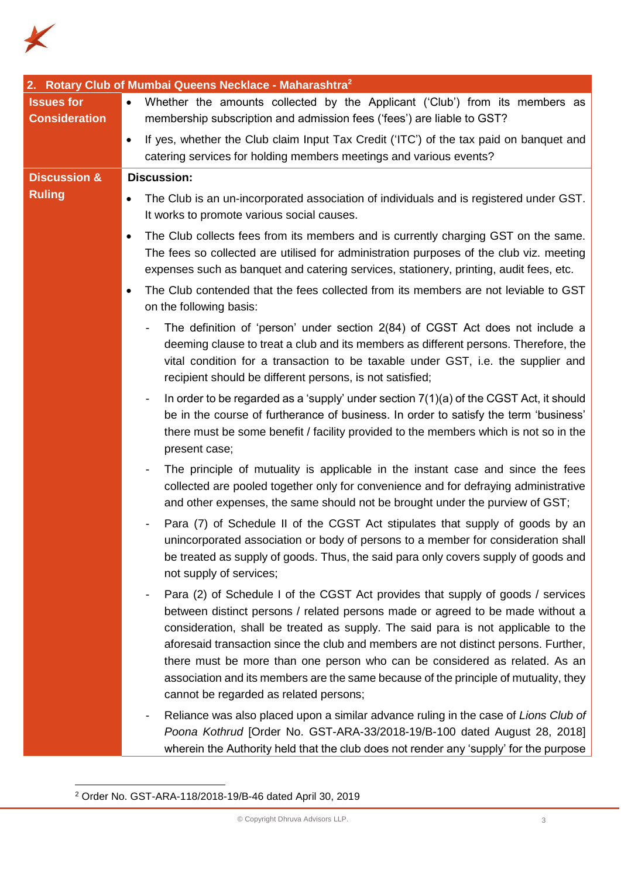

|                         | 2. Rotary Club of Mumbai Queens Necklace - Maharashtra <sup>2</sup>                                                                                                                                                                                                                                                                                                                                                                                                                                                                                           |
|-------------------------|---------------------------------------------------------------------------------------------------------------------------------------------------------------------------------------------------------------------------------------------------------------------------------------------------------------------------------------------------------------------------------------------------------------------------------------------------------------------------------------------------------------------------------------------------------------|
| <b>Issues for</b>       | Whether the amounts collected by the Applicant ('Club') from its members as<br>$\bullet$                                                                                                                                                                                                                                                                                                                                                                                                                                                                      |
| <b>Consideration</b>    | membership subscription and admission fees ('fees') are liable to GST?                                                                                                                                                                                                                                                                                                                                                                                                                                                                                        |
|                         | If yes, whether the Club claim Input Tax Credit ('ITC') of the tax paid on banquet and<br>$\bullet$<br>catering services for holding members meetings and various events?                                                                                                                                                                                                                                                                                                                                                                                     |
| <b>Discussion &amp;</b> | <b>Discussion:</b>                                                                                                                                                                                                                                                                                                                                                                                                                                                                                                                                            |
| <b>Ruling</b>           | The Club is an un-incorporated association of individuals and is registered under GST.<br>It works to promote various social causes.                                                                                                                                                                                                                                                                                                                                                                                                                          |
|                         | The Club collects fees from its members and is currently charging GST on the same.<br>٠<br>The fees so collected are utilised for administration purposes of the club viz. meeting<br>expenses such as banquet and catering services, stationery, printing, audit fees, etc.                                                                                                                                                                                                                                                                                  |
|                         | The Club contended that the fees collected from its members are not leviable to GST<br>$\bullet$<br>on the following basis:                                                                                                                                                                                                                                                                                                                                                                                                                                   |
|                         | The definition of 'person' under section 2(84) of CGST Act does not include a<br>deeming clause to treat a club and its members as different persons. Therefore, the<br>vital condition for a transaction to be taxable under GST, i.e. the supplier and<br>recipient should be different persons, is not satisfied;                                                                                                                                                                                                                                          |
|                         | In order to be regarded as a 'supply' under section $7(1)(a)$ of the CGST Act, it should<br>$\overline{\phantom{a}}$<br>be in the course of furtherance of business. In order to satisfy the term 'business'<br>there must be some benefit / facility provided to the members which is not so in the<br>present case;                                                                                                                                                                                                                                         |
|                         | The principle of mutuality is applicable in the instant case and since the fees<br>collected are pooled together only for convenience and for defraying administrative<br>and other expenses, the same should not be brought under the purview of GST;                                                                                                                                                                                                                                                                                                        |
|                         | Para (7) of Schedule II of the CGST Act stipulates that supply of goods by an<br>unincorporated association or body of persons to a member for consideration shall<br>be treated as supply of goods. Thus, the said para only covers supply of goods and<br>not supply of services;                                                                                                                                                                                                                                                                           |
|                         | Para (2) of Schedule I of the CGST Act provides that supply of goods / services<br>between distinct persons / related persons made or agreed to be made without a<br>consideration, shall be treated as supply. The said para is not applicable to the<br>aforesaid transaction since the club and members are not distinct persons. Further,<br>there must be more than one person who can be considered as related. As an<br>association and its members are the same because of the principle of mutuality, they<br>cannot be regarded as related persons; |
|                         | Reliance was also placed upon a similar advance ruling in the case of Lions Club of<br>Poona Kothrud [Order No. GST-ARA-33/2018-19/B-100 dated August 28, 2018]<br>wherein the Authority held that the club does not render any 'supply' for the purpose                                                                                                                                                                                                                                                                                                      |

<sup>2</sup> Order No. GST-ARA-118/2018-19/B-46 dated April 30, 2019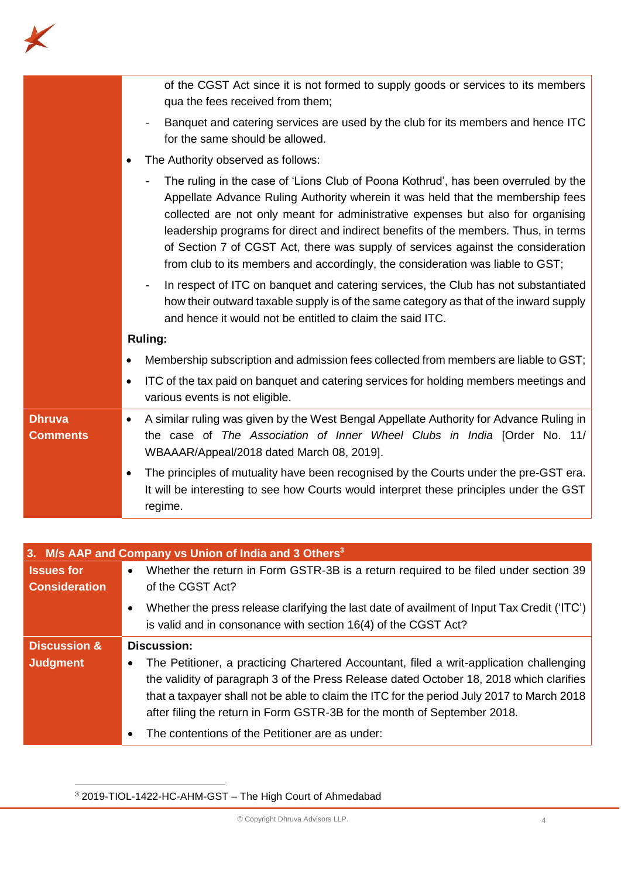

|                                  | of the CGST Act since it is not formed to supply goods or services to its members<br>qua the fees received from them;                                                                                                                                                                                                                                                                                                                                                                                                  |
|----------------------------------|------------------------------------------------------------------------------------------------------------------------------------------------------------------------------------------------------------------------------------------------------------------------------------------------------------------------------------------------------------------------------------------------------------------------------------------------------------------------------------------------------------------------|
|                                  | Banquet and catering services are used by the club for its members and hence ITC<br>for the same should be allowed.                                                                                                                                                                                                                                                                                                                                                                                                    |
|                                  | The Authority observed as follows:                                                                                                                                                                                                                                                                                                                                                                                                                                                                                     |
|                                  | The ruling in the case of 'Lions Club of Poona Kothrud', has been overruled by the<br>Appellate Advance Ruling Authority wherein it was held that the membership fees<br>collected are not only meant for administrative expenses but also for organising<br>leadership programs for direct and indirect benefits of the members. Thus, in terms<br>of Section 7 of CGST Act, there was supply of services against the consideration<br>from club to its members and accordingly, the consideration was liable to GST; |
|                                  | In respect of ITC on banquet and catering services, the Club has not substantiated<br>$\overline{\phantom{a}}$<br>how their outward taxable supply is of the same category as that of the inward supply<br>and hence it would not be entitled to claim the said ITC.                                                                                                                                                                                                                                                   |
|                                  | <b>Ruling:</b>                                                                                                                                                                                                                                                                                                                                                                                                                                                                                                         |
|                                  | Membership subscription and admission fees collected from members are liable to GST;                                                                                                                                                                                                                                                                                                                                                                                                                                   |
|                                  | ITC of the tax paid on banquet and catering services for holding members meetings and<br>$\bullet$<br>various events is not eligible.                                                                                                                                                                                                                                                                                                                                                                                  |
| <b>Dhruva</b><br><b>Comments</b> | A similar ruling was given by the West Bengal Appellate Authority for Advance Ruling in<br>the case of The Association of Inner Wheel Clubs in India [Order No. 11/<br>WBAAAR/Appeal/2018 dated March 08, 2019].                                                                                                                                                                                                                                                                                                       |
|                                  | The principles of mutuality have been recognised by the Courts under the pre-GST era.<br>It will be interesting to see how Courts would interpret these principles under the GST<br>regime.                                                                                                                                                                                                                                                                                                                            |

|                                           | 3. M/s AAP and Company vs Union of India and 3 Others <sup>3</sup>                                                                                                                                                                                                                                                                                          |
|-------------------------------------------|-------------------------------------------------------------------------------------------------------------------------------------------------------------------------------------------------------------------------------------------------------------------------------------------------------------------------------------------------------------|
| <b>Issues for</b><br><b>Consideration</b> | Whether the return in Form GSTR-3B is a return required to be filed under section 39<br>$\bullet$<br>of the CGST Act?                                                                                                                                                                                                                                       |
|                                           | Whether the press release clarifying the last date of availment of Input Tax Credit ('ITC')<br>is valid and in consonance with section 16(4) of the CGST Act?                                                                                                                                                                                               |
| <b>Discussion &amp;</b>                   | <b>Discussion:</b>                                                                                                                                                                                                                                                                                                                                          |
| <b>Judgment</b>                           | The Petitioner, a practicing Chartered Accountant, filed a writ-application challenging<br>the validity of paragraph 3 of the Press Release dated October 18, 2018 which clarifies<br>that a taxpayer shall not be able to claim the ITC for the period July 2017 to March 2018<br>after filing the return in Form GSTR-3B for the month of September 2018. |
|                                           | The contentions of the Petitioner are as under:                                                                                                                                                                                                                                                                                                             |

 $\overline{a}$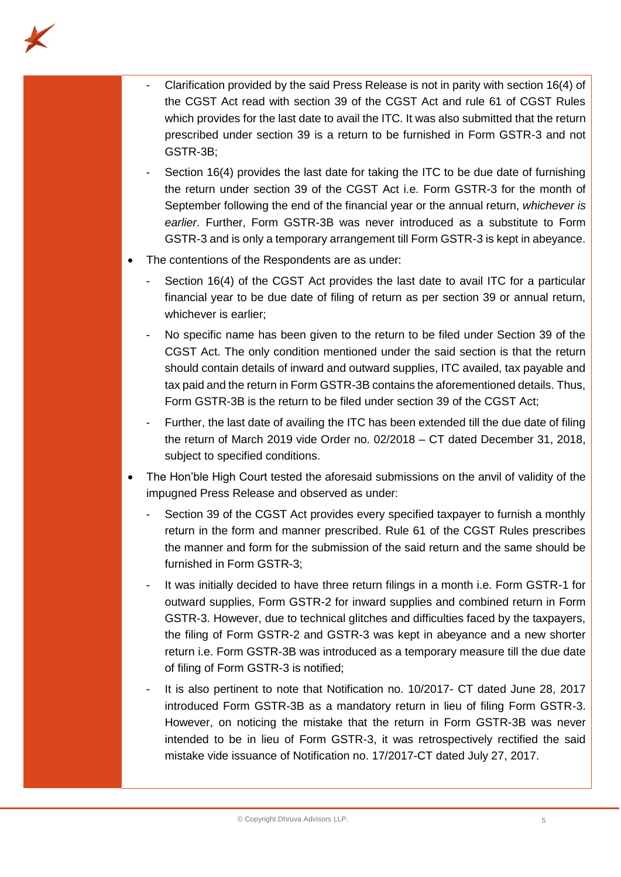

- Clarification provided by the said Press Release is not in parity with section 16(4) of the CGST Act read with section 39 of the CGST Act and rule 61 of CGST Rules which provides for the last date to avail the ITC. It was also submitted that the return prescribed under section 39 is a return to be furnished in Form GSTR-3 and not GSTR-3B;
- Section 16(4) provides the last date for taking the ITC to be due date of furnishing the return under section 39 of the CGST Act i.e. Form GSTR-3 for the month of September following the end of the financial year or the annual return, *whichever is earlier*. Further, Form GSTR-3B was never introduced as a substitute to Form GSTR-3 and is only a temporary arrangement till Form GSTR-3 is kept in abeyance.
- The contentions of the Respondents are as under:
	- Section 16(4) of the CGST Act provides the last date to avail ITC for a particular financial year to be due date of filing of return as per section 39 or annual return, whichever is earlier;
	- No specific name has been given to the return to be filed under Section 39 of the CGST Act. The only condition mentioned under the said section is that the return should contain details of inward and outward supplies, ITC availed, tax payable and tax paid and the return in Form GSTR-3B contains the aforementioned details. Thus, Form GSTR-3B is the return to be filed under section 39 of the CGST Act;
	- Further, the last date of availing the ITC has been extended till the due date of filing the return of March 2019 vide Order no. 02/2018 – CT dated December 31, 2018, subject to specified conditions.
- The Hon'ble High Court tested the aforesaid submissions on the anvil of validity of the impugned Press Release and observed as under:
	- Section 39 of the CGST Act provides every specified taxpayer to furnish a monthly return in the form and manner prescribed. Rule 61 of the CGST Rules prescribes the manner and form for the submission of the said return and the same should be furnished in Form GSTR-3;
	- It was initially decided to have three return filings in a month i.e. Form GSTR-1 for outward supplies, Form GSTR-2 for inward supplies and combined return in Form GSTR-3. However, due to technical glitches and difficulties faced by the taxpayers, the filing of Form GSTR-2 and GSTR-3 was kept in abeyance and a new shorter return i.e. Form GSTR-3B was introduced as a temporary measure till the due date of filing of Form GSTR-3 is notified;
	- It is also pertinent to note that Notification no. 10/2017- CT dated June 28, 2017 introduced Form GSTR-3B as a mandatory return in lieu of filing Form GSTR-3. However, on noticing the mistake that the return in Form GSTR-3B was never intended to be in lieu of Form GSTR-3, it was retrospectively rectified the said mistake vide issuance of Notification no. 17/2017-CT dated July 27, 2017.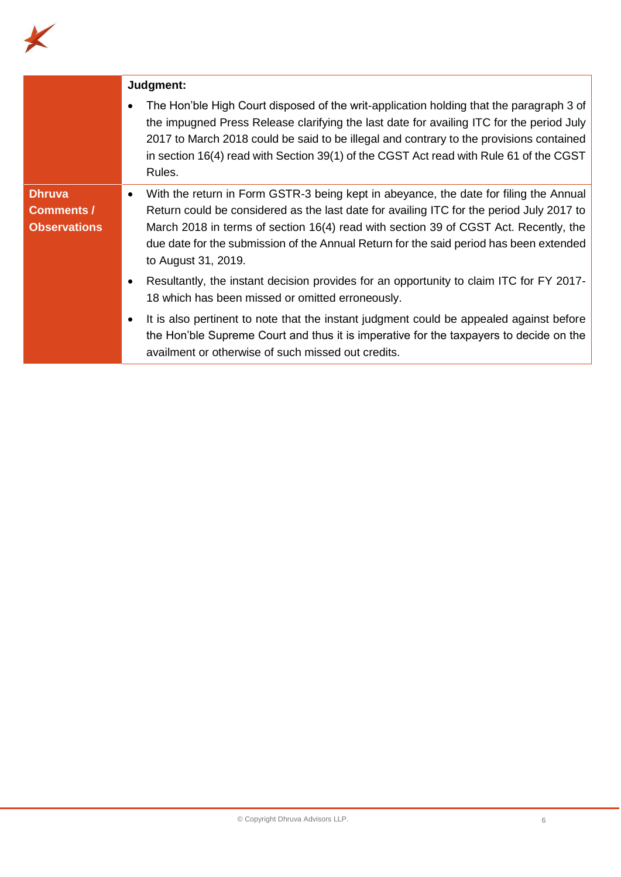

|                                                           | Judgment:                                                                                                                                                                                                                                                                                                                                                                                               |
|-----------------------------------------------------------|---------------------------------------------------------------------------------------------------------------------------------------------------------------------------------------------------------------------------------------------------------------------------------------------------------------------------------------------------------------------------------------------------------|
|                                                           | The Hon'ble High Court disposed of the writ-application holding that the paragraph 3 of<br>٠<br>the impugned Press Release clarifying the last date for availing ITC for the period July<br>2017 to March 2018 could be said to be illegal and contrary to the provisions contained<br>in section 16(4) read with Section 39(1) of the CGST Act read with Rule 61 of the CGST<br>Rules.                 |
| <b>Dhruva</b><br><b>Comments /</b><br><b>Observations</b> | With the return in Form GSTR-3 being kept in abeyance, the date for filing the Annual<br>$\bullet$<br>Return could be considered as the last date for availing ITC for the period July 2017 to<br>March 2018 in terms of section 16(4) read with section 39 of CGST Act. Recently, the<br>due date for the submission of the Annual Return for the said period has been extended<br>to August 31, 2019. |
|                                                           | Resultantly, the instant decision provides for an opportunity to claim ITC for FY 2017-<br>18 which has been missed or omitted erroneously.                                                                                                                                                                                                                                                             |
|                                                           | It is also pertinent to note that the instant judgment could be appealed against before<br>the Hon'ble Supreme Court and thus it is imperative for the taxpayers to decide on the<br>availment or otherwise of such missed out credits.                                                                                                                                                                 |